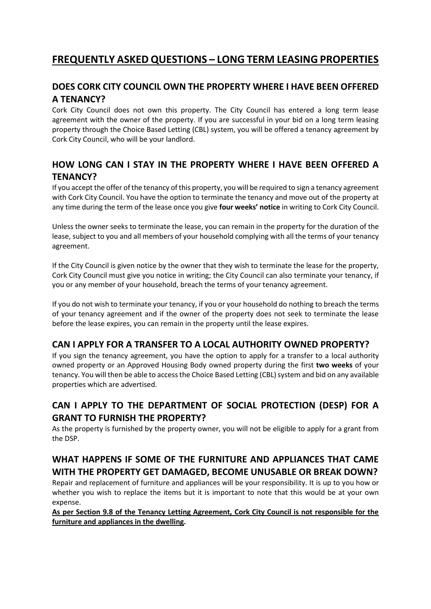# **FREQUENTLY ASKED QUESTIONS – LONG TERM LEASING PROPERTIES**

## **DOES CORK CITY COUNCIL OWN THE PROPERTY WHERE I HAVE BEEN OFFERED A TENANCY?**

Cork City Council does not own this property. The City Council has entered a long term lease agreement with the owner of the property. If you are successful in your bid on a long term leasing property through the Choice Based Letting (CBL) system, you will be offered a tenancy agreement by Cork City Council, who will be your landlord.

## **HOW LONG CAN I STAY IN THE PROPERTY WHERE I HAVE BEEN OFFERED A TENANCY?**

If you accept the offer of the tenancy of this property, you will be required to sign a tenancy agreement with Cork City Council. You have the option to terminate the tenancy and move out of the property at any time during the term of the lease once you give **four weeks' notice** in writing to Cork City Council.

Unless the owner seeks to terminate the lease, you can remain in the property for the duration of the lease, subject to you and all members of your household complying with all the terms of your tenancy agreement.

If the City Council is given notice by the owner that they wish to terminate the lease for the property, Cork City Council must give you notice in writing; the City Council can also terminate your tenancy, if you or any member of your household, breach the terms of your tenancy agreement.

If you do not wish to terminate your tenancy, if you or your household do nothing to breach the terms of your tenancy agreement and if the owner of the property does not seek to terminate the lease before the lease expires, you can remain in the property until the lease expires.

### **CAN I APPLY FOR A TRANSFER TO A LOCAL AUTHORITY OWNED PROPERTY?**

If you sign the tenancy agreement, you have the option to apply for a transfer to a local authority owned property or an Approved Housing Body owned property during the first **two weeks** of your tenancy. You will then be able to access the Choice Based Letting (CBL) system and bid on any available properties which are advertised.

### **CAN I APPLY TO THE DEPARTMENT OF SOCIAL PROTECTION (DESP) FOR A GRANT TO FURNISH THE PROPERTY?**

As the property is furnished by the property owner, you will not be eligible to apply for a grant from the DSP.

### **WHAT HAPPENS IF SOME OF THE FURNITURE AND APPLIANCES THAT CAME WITH THE PROPERTY GET DAMAGED, BECOME UNUSABLE OR BREAK DOWN?**

Repair and replacement of furniture and appliances will be your responsibility. It is up to you how or whether you wish to replace the items but it is important to note that this would be at your own expense.

**As per Section 9.8 of the Tenancy Letting Agreement, Cork City Council is not responsible for the furniture and appliances in the dwelling.**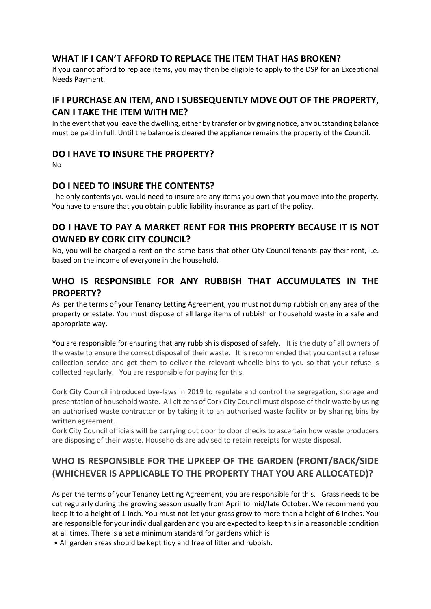### **WHAT IF I CAN'T AFFORD TO REPLACE THE ITEM THAT HAS BROKEN?**

If you cannot afford to replace items, you may then be eligible to apply to the DSP for an Exceptional Needs Payment.

### **IF I PURCHASE AN ITEM, AND I SUBSEQUENTLY MOVE OUT OF THE PROPERTY, CAN I TAKE THE ITEM WITH ME?**

In the event that you leave the dwelling, either by transfer or by giving notice, any outstanding balance must be paid in full. Until the balance is cleared the appliance remains the property of the Council.

#### **DO I HAVE TO INSURE THE PROPERTY?**

No

#### **DO I NEED TO INSURE THE CONTENTS?**

The only contents you would need to insure are any items you own that you move into the property. You have to ensure that you obtain public liability insurance as part of the policy.

### **DO I HAVE TO PAY A MARKET RENT FOR THIS PROPERTY BECAUSE IT IS NOT OWNED BY CORK CITY COUNCIL?**

No, you will be charged a rent on the same basis that other City Council tenants pay their rent, i.e. based on the income of everyone in the household.

## **WHO IS RESPONSIBLE FOR ANY RUBBISH THAT ACCUMULATES IN THE PROPERTY?**

As per the terms of your Tenancy Letting Agreement, you must not dump rubbish on any area of the property or estate. You must dispose of all large items of rubbish or household waste in a safe and appropriate way.

You are responsible for ensuring that any rubbish is disposed of safely. It is the duty of all owners of the waste to ensure the correct disposal of their waste. It is recommended that you contact a refuse collection service and get them to deliver the relevant wheelie bins to you so that your refuse is collected regularly. You are responsible for paying for this.

Cork City Council introduced bye-laws in 2019 to regulate and control the segregation, storage and presentation of household waste. All citizens of Cork City Council must dispose of their waste by using an authorised waste contractor or by taking it to an authorised waste facility or by sharing bins by written agreement.

Cork City Council officials will be carrying out door to door checks to ascertain how waste producers are disposing of their waste. Households are advised to retain receipts for waste disposal.

## **WHO IS RESPONSIBLE FOR THE UPKEEP OF THE GARDEN (FRONT/BACK/SIDE (WHICHEVER IS APPLICABLE TO THE PROPERTY THAT YOU ARE ALLOCATED)?**

As per the terms of your Tenancy Letting Agreement, you are responsible for this. Grass needs to be cut regularly during the growing season usually from April to mid/late October. We recommend you keep it to a height of 1 inch. You must not let your grass grow to more than a height of 6 inches. You are responsible for your individual garden and you are expected to keep this in a reasonable condition at all times. There is a set a minimum standard for gardens which is

• All garden areas should be kept tidy and free of litter and rubbish.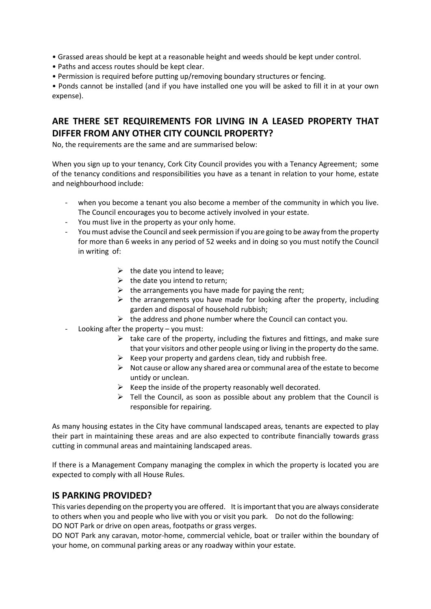- Grassed areas should be kept at a reasonable height and weeds should be kept under control.
- Paths and access routes should be kept clear.
- Permission is required before putting up/removing boundary structures or fencing.

• Ponds cannot be installed (and if you have installed one you will be asked to fill it in at your own expense).

## **ARE THERE SET REQUIREMENTS FOR LIVING IN A LEASED PROPERTY THAT DIFFER FROM ANY OTHER CITY COUNCIL PROPERTY?**

No, the requirements are the same and are summarised below:

When you sign up to your tenancy, Cork City Council provides you with a Tenancy Agreement; some of the tenancy conditions and responsibilities you have as a tenant in relation to your home, estate and neighbourhood include:

- when you become a tenant you also become a member of the community in which you live. The Council encourages you to become actively involved in your estate.
- You must live in the property as your only home.
- You must advise the Council and seek permission if you are going to be away from the property for more than 6 weeks in any period of 52 weeks and in doing so you must notify the Council in writing of:
	- $\triangleright$  the date you intend to leave;
	- $\triangleright$  the date you intend to return;
	- $\triangleright$  the arrangements you have made for paying the rent;
	- $\triangleright$  the arrangements you have made for looking after the property, including garden and disposal of household rubbish;
	- $\triangleright$  the address and phone number where the Council can contact you.
- Looking after the property  $-$  you must:
	- $\triangleright$  take care of the property, including the fixtures and fittings, and make sure that your visitors and other people using or living in the property do the same.
	- $\triangleright$  Keep your property and gardens clean, tidy and rubbish free.
	- $\triangleright$  Not cause or allow any shared area or communal area of the estate to become untidy or unclean.
	- $\triangleright$  Keep the inside of the property reasonably well decorated.
	- $\triangleright$  Tell the Council, as soon as possible about any problem that the Council is responsible for repairing.

As many housing estates in the City have communal landscaped areas, tenants are expected to play their part in maintaining these areas and are also expected to contribute financially towards grass cutting in communal areas and maintaining landscaped areas.

If there is a Management Company managing the complex in which the property is located you are expected to comply with all House Rules.

#### **IS PARKING PROVIDED?**

This varies depending on the property you are offered. It is important that you are always considerate to others when you and people who live with you or visit you park. Do not do the following: DO NOT Park or drive on open areas, footpaths or grass verges.

DO NOT Park any caravan, motor-home, commercial vehicle, boat or trailer within the boundary of your home, on communal parking areas or any roadway within your estate.